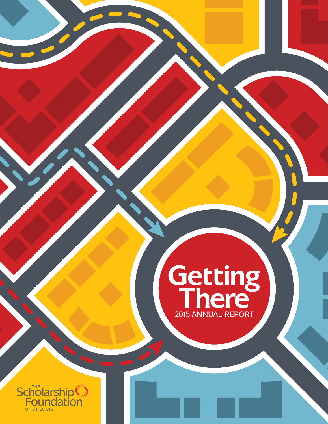

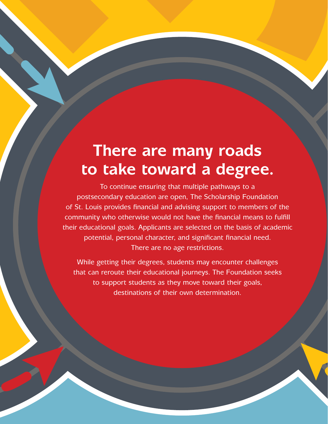## **There are many roads to take toward a degree.**

To continue ensuring that multiple pathways to a postsecondary education are open, The Scholarship Foundation of St. Louis provides financial and advising support to members of the community who otherwise would not have the financial means to fulfill their educational goals. Applicants are selected on the basis of academic potential, personal character, and significant financial need. There are no age restrictions.

While getting their degrees, students may encounter challenges that can reroute their educational journeys. The Foundation seeks to support students as they move toward their goals, destinations of their own determination.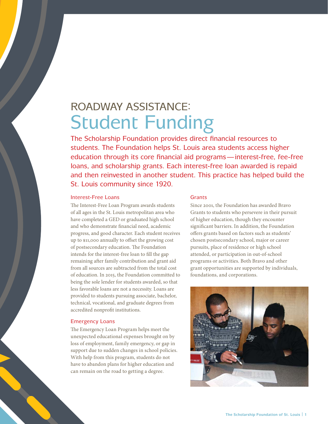### ROADWAY ASSISTANCE: Student Funding

The Scholarship Foundation provides direct financial resources to students. The Foundation helps St. Louis area students access higher education through its core financial aid programs — interest-free, fee-free loans, and scholarship grants. Each interest-free loan awarded is repaid and then reinvested in another student. This practice has helped build the St. Louis community since 1920.

#### Interest-Free Loans

The Interest-Free Loan Program awards students of all ages in the St. Louis metropolitan area who have completed a GED or graduated high school and who demonstrate financial need, academic progress, and good character. Each student receives up to \$11,000 annually to offset the growing cost of postsecondary education. The Foundation intends for the interest-free loan to fill the gap remaining after family contribution and grant aid from all sources are subtracted from the total cost of education. In 2015, the Foundation committed to being the sole lender for students awarded, so that less favorable loans are not a necessity. Loans are provided to students pursuing associate, bachelor, technical, vocational, and graduate degrees from accredited nonprofit institutions.

#### Emergency Loans

The Emergency Loan Program helps meet the unexpected educational expenses brought on by loss of employment, family emergency, or gap in support due to sudden changes in school policies. With help from this program, students do not have to abandon plans for higher education and can remain on the road to getting a degree.

#### **Grants**

Since 2001, the Foundation has awarded Bravo Grants to students who persevere in their pursuit of higher education, though they encounter significant barriers. In addition, the Foundation offers grants based on factors such as students' chosen postsecondary school, major or career pursuits, place of residence or high school attended, or participation in out-of-school programs or activities. Both Bravo and other grant opportunities are supported by individuals, foundations, and corporations.

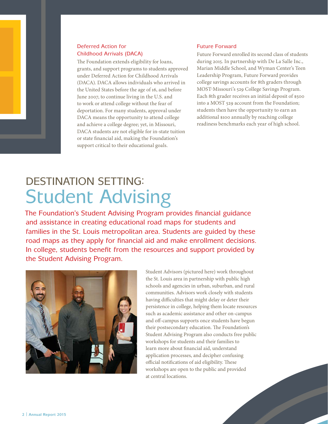

The Foundation extends eligibility for loans, grants, and support programs to students approved under Deferred Action for Childhood Arrivals (DACA). DACA allows individuals who arrived in the United States before the age of 16, and before June 2007, to continue living in the U.S. and to work or attend college without the fear of deportation. For many students, approval under DACA means the opportunity to attend college and achieve a college degree; yet, in Missouri, DACA students are not eligible for in-state tuition or state financial aid, making the Foundation's support critical to their educational goals.

#### Future Forward

Future Forward enrolled its second class of students during 2015. In partnership with De La Salle Inc., Marian Middle School, and Wyman Center's Teen Leadership Program, Future Forward provides college savings accounts for 8th graders through MOST-Missouri's 529 College Savings Program. Each 8th grader receives an initial deposit of \$500 into a MOST 529 account from the Foundation; students then have the opportunity to earn an additional \$100 annually by reaching college readiness benchmarks each year of high school.

### DESTINATION SETTING: Student Advising

The Foundation's Student Advising Program provides financial guidance and assistance in creating educational road maps for students and families in the St. Louis metropolitan area. Students are guided by these road maps as they apply for financial aid and make enrollment decisions. In college, students benefit from the resources and support provided by the Student Advising Program.



Student Advisors (pictured here) work throughout the St. Louis area in partnership with public high schools and agencies in urban, suburban, and rural communities. Advisors work closely with students having difficulties that might delay or deter their persistence in college, helping them locate resources such as academic assistance and other on-campus and off-campus supports once students have begun their postsecondary education. The Foundation's Student Advising Program also conducts free public workshops for students and their families to learn more about financial aid, understand application processes, and decipher confusing official notifications of aid eligibility. These workshops are open to the public and provided at central locations.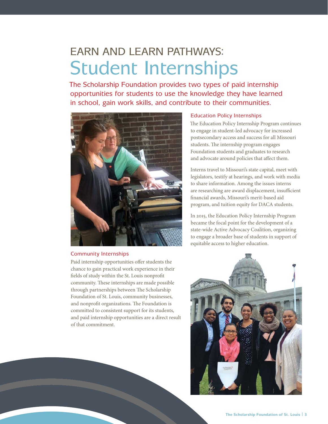### EARN AND LEARN PATHWAYS: Student Internships

The Scholarship Foundation provides two types of paid internship opportunities for students to use the knowledge they have learned in school, gain work skills, and contribute to their communities.



#### Community Internships

Paid internship opportunities offer students the chance to gain practical work experience in their fields of study within the St. Louis nonprofit community. These internships are made possible through partnerships between The Scholarship Foundation of St. Louis, community businesses, and nonprofit organizations. The Foundation is committed to consistent support for its students, and paid internship opportunities are a direct result of that commitment.

#### Education Policy Internships

The Education Policy Internship Program continues to engage in student-led advocacy for increased postsecondary access and success for all Missouri students. The internship program engages Foundation students and graduates to research and advocate around policies that affect them.

Interns travel to Missouri's state capital, meet with legislators, testify at hearings, and work with media to share information. Among the issues interns are researching are award displacement, insufficient financial awards, Missouri's merit-based aid program, and tuition equity for DACA students.

In 2015, the Education Policy Internship Program became the focal point for the development of a state-wide Active Advocacy Coalition, organizing to engage a broader base of students in support of equitable access to higher education.

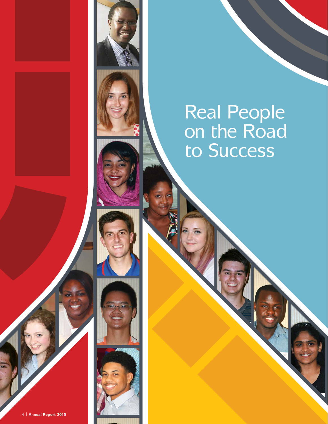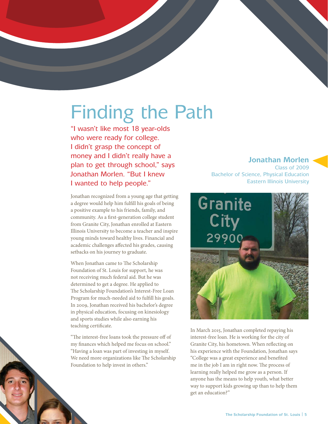## Finding the Path

"I wasn't like most 18 year-olds who were ready for college. I didn't grasp the concept of money and I didn't really have a plan to get through school," says Jonathan Morlen. "But I knew I wanted to help people."

Jonathan recognized from a young age that getting a degree would help him fulfill his goals of being a positive example to his friends, family, and community. As a first-generation college student from Granite City, Jonathan enrolled at Eastern Illinois University to become a teacher and inspire young minds toward healthy lives. Financial and academic challenges affected his grades, causing setbacks on his journey to graduate.

When Jonathan came to The Scholarship Foundation of St. Louis for support, he was not receiving much federal aid. But he was determined to get a degree. He applied to The Scholarship Foundation's Interest-Free Loan Program for much-needed aid to fulfill his goals. In 2009, Jonathan received his bachelor's degree in physical education, focusing on kinesiology and sports studies while also earning his teaching certificate.

"The interest-free loans took the pressure off of my finances which helped me focus on school." "Having a loan was part of investing in myself. We need more organizations like The Scholarship Foundation to help invest in others."

#### **Jonathan Morlen**

Class of 2009 Bachelor of Science, Physical Education Eastern Illinois University



In March 2015, Jonathan completed repaying his interest-free loan. He is working for the city of Granite City, his hometown. When reflecting on his experience with the Foundation, Jonathan says "College was a great experience and benefited me in the job I am in right now. The process of learning really helped me grow as a person. If anyone has the means to help youth, what better way to support kids growing up than to help them get an education?"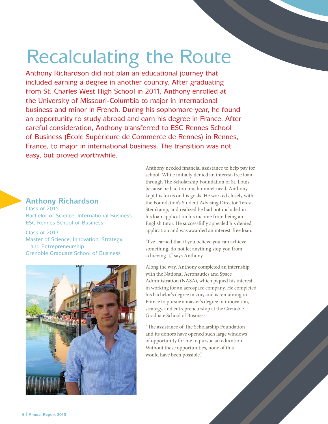## Recalculating the Route

Anthony Richardson did not plan an educational journey that included earning a degree in another country. After graduating from St. Charles West High School in 2011, Anthony enrolled at the University of Missouri-Columbia to major in international business and minor in French. During his sophomore year, he found an opportunity to study abroad and earn his degree in France. After careful consideration, Anthony transferred to ESC Rennes School of Business (École Supérieure de Commerce de Rennes) in Rennes, France, to major in international business. The transition was not easy, but proved worthwhile.

#### **Anthony Richardson**

Class of 2015 Bachelor of Science, International Business ESC Rennes School of Business

Class of 2017 Master of Science, Innovation, Strategy, and Entrepreneurship Grenoble Graduate School of Business



Anthony needed financial assistance to help pay for school. While initially denied an interest-free loan through The Scholarship Foundation of St. Louis because he had too much unmet need, Anthony kept his focus on his goals. He worked closely with the Foundation's Student Advising Director Teresa Steinkamp, and realized he had not included in his loan application his income from being an English tutor. He successfully appealed his denied application and was awarded an interest-free loan.

"I've learned that if you believe you can achieve something, do not let anything stop you from achieving it," says Anthony.

Along the way, Anthony completed an internship with the National Aeronautics and Space Administration (NASA), which piqued his interest in working for an aerospace company. He completed his bachelor's degree in 2015 and is remaining in France to pursue a master's degree in innovation, strategy, and entrepreneurship at the Grenoble Graduate School of Business.

"The assistance of The Scholarship Foundation and its donors have opened such large windows of opportunity for me to pursue an education. Without these opportunities, none of this would have been possible."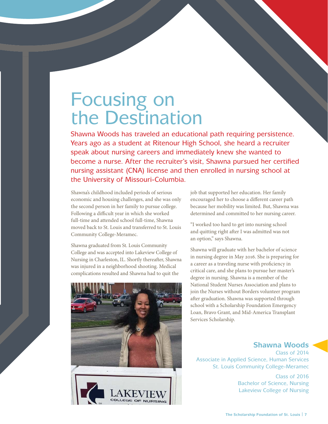## Focusing on the Destination

Shawna Woods has traveled an educational path requiring persistence. Years ago as a student at Ritenour High School, she heard a recruiter speak about nursing careers and immediately knew she wanted to become a nurse. After the recruiter's visit, Shawna pursued her certified nursing assistant (CNA) license and then enrolled in nursing school at the University of Missouri-Columbia.

Shawna's childhood included periods of serious economic and housing challenges, and she was only the second person in her family to pursue college. Following a difficult year in which she worked full-time and attended school full-time, Shawna moved back to St. Louis and transferred to St. Louis Community College-Meramec.

Shawna graduated from St. Louis Community College and was accepted into Lakeview College of Nursing in Charleston, IL. Shortly thereafter, Shawna was injured in a neighborhood shooting. Medical complications resulted and Shawna had to quit the



job that supported her education. Her family encouraged her to choose a different career path because her mobility was limited. But, Shawna was determined and committed to her nursing career.

"I worked too hard to get into nursing school and quitting right after I was admitted was not an option," says Shawna.

Shawna will graduate with her bachelor of science in nursing degree in May 2016. She is preparing for a career as a traveling nurse with proficiency in critical care, and she plans to pursue her master's degree in nursing. Shawna is a member of the National Student Nurses Association and plans to join the Nurses without Borders volunteer program after graduation. Shawna was supported through school with a Scholarship Foundation Emergency Loan, Bravo Grant, and Mid-America Transplant Services Scholarship.

#### **Shawna Woods**

Class of 2014 Associate in Applied Science, Human Services St. Louis Community College-Meramec

> Class of 2016 Bachelor of Science, Nursing Lakeview College of Nursing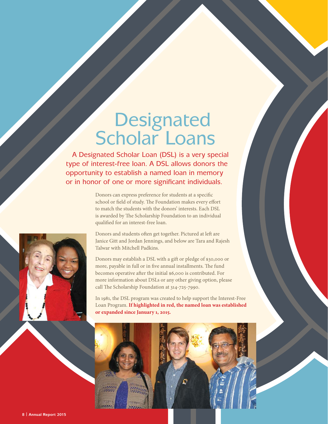## **Designated** Scholar Loans

 A Designated Scholar Loan (DSL) is a very special type of interest-free loan. A DSL allows donors the opportunity to establish a named loan in memory or in honor of one or more significant individuals.

> Donors can express preference for students at a specific school or field of study. The Foundation makes every effort to match the students with the donors' interests. Each DSL is awarded by The Scholarship Foundation to an individual qualified for an interest-free loan.

Donors and students often get together. Pictured at left are Janice Gitt and Jordan Jennings, and below are Tara and Rajesh Talwar with Mitchell Padkins.

Donors may establish a DSL with a gift or pledge of \$30,000 or more, payable in full or in five annual installments. The fund becomes operative after the initial \$6,000 is contributed. For more information about DSLs or any other giving option, please call The Scholarship Foundation at 314-725-7990.

In 1981, the DSL program was created to help support the Interest-Free Loan Program. **If highlighted in red, the named loan was established or expanded since January 1, 2015.**



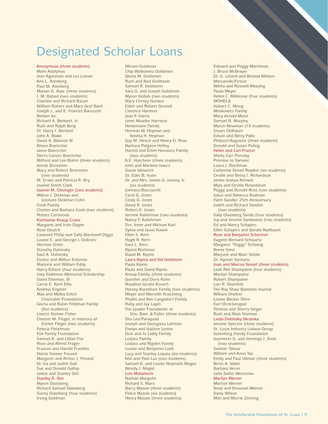### Designated Scholar Loans

Anonymous (three students) Mark Adolphus Jean Agatstein and Les Loewe Ann L. Arenberg Paul M. Arenberg Marian D. Auer (three students) J. M. Babad (two students) Charline and Richard Baizer William Robert and Mary Graf Bard Joseph L. and E. Frances Baruzzini Belden Inc. Richard A. Bennett, Jr. Ruth and Ralph Berg Dr. Harry I. Berland John A. Blake David A. Blanton III Alison Boettcher Jason Boettcher Sierra Carson Boettcher Milford and Lee Bohm (three students) Jennie Bornstein Mary and Robert Bronstein (two students) M. Erwin and Patricia R. Bry Joanne Smith Clark Joanne M. Clevinger (two students) Milton J. Dickman and Leonore Dickman Cohn Cook Family Charles and Barbara Cook (two students) Robert Cortinovis Kathianne Knaup Crane Margaret and Irvin Dagen Rose Deutch Casswell Philip and Sally Blackwell Diggs Louise E. and George J. Dobratz Herman Dreer Dorothy Dubinsky Saul A. Dubinsky Eunice and Wilbur Eckstein Marjorie and William Eddy Harry Edison (four students) Joey Eidelman Memorial Scholarship David Eiseman, III Carrie E. Kern Ellis Andrew Engster Max and Melba Erlich Charitable Foundation Gloria and Rubin Feldman Family (five students) Lisette Steiner Fisher Chester M. Flegel, in memory of Esther Flegel (two students) Felecia Fleishman Fox Family Foundation Samuel A. and Lillian Fox Rose and Alfred Frager Frances and Harold Franklin Hattie Steiner Freund Margaret and Arthur J. Freund Dr. Ira and Judith Gall Sue and Donald Gallop Janice and Stanley Gitt Stanley A. Gitt Myron Glassberg Richard Samuel Glassberg Sunny Glassberg (four students) Irving Goldman

Miriam Goldman Chip Wolkowitz Goldstein Gloria M. Goldstein Ruth and Bud Goldstein Samuel R. Goldstein Sara G. and Joseph Goldstein Myron Gollub (two students) Mary Christy Gordon Edith and Robert Gosnell Clarence Harmon Jean F. Harris Janet Meador Harrison Heidemann Family Herman W. Heyman and Amelia H. Heyman Gay M. Hirsch and Henry D. Ross Barbara Pidgeon Holley Harold and Ethel Horowitz Family (two students) A.E. Hotchner (three students) John and Marlene Isaacs Susan Iskiwitch Dr. Edet B. Ituen Dr. and Mrs. James G. Janney, Jr. (six students) Johnson/Bucciarelli Carol G. Jones Cindy G. Jones David R. Jones Robert E. Jones Jerome Kalishman (two students) Nancy F. Kalishman Drs. Irene and Michael Karl Sylvia and Jason Kawin Ellen S. Kern Hugh R. Kern Sara L. Kern Kipnis/Rothman David M. Kipnis Laura Kipnis and Sid Goldstein Paula Kipnis Paula and David Kipnis Knaup Family (three students) Gunther and Doris Kohn Rosalind Jacobs Korach Harvey Kornblum Family (two students) Meyer and Marcelle Kranzberg Phyllis and Ken Langsdorf Family Ruby and Jay Lapin The Leader Foundation of Stix, Baer, & Fuller (three students) Des Lee/Paraquad Joseph and Georgiana Lehman Evelyn and Isadore Levine Dick and Jo Liddy Family Lodato Family Lodato and Rigden Family Louise and Benjamin Loeb Lucy and Stanley Lopata (six students) Ann and Paul Lux (two students) Samuel A. and Louise Neymark Mages Wendy J. Magid Lois Malashock Nathan Margolin Richard S. Marx Barry Massie (three students)

Felice Massie (six students) Henry Massie (three students)

Edward and Peggy Matthews J. Bruce McBrayer Dr. G. Leland and Brenda Melson Mercantile/Firstar Wilma and Roswell Messing Paula Meyer Helen C. Millstone (four students) MOHELA Hubert C. Moog Moskowitz Family Mary Arnold Mottl Samuel B. Murphy Myron Newman (19 students) Stuart Oelbaum Edwin and Betty Pallo Philpott/Augustin (three students) Donald and Susan Poling Helen and Carl Pratter Sheila Carr Prensky Promise to Sameer Laura J. Reichman Catherine Sessel Reydon (six students) Orville and Betty J. Richardson James Joshua Romeis Myla and Orville Rosenblum Peggy and Donald Ross (two students) Julius and Rebecca Rudman Faith Sandler 25th Anniversary Judith and Richard Sandler (two students) Sally Glassberg Sands (four students) Joy and Jerome Sandweiss (two students) Ed and Nancy Schapiro Ellen Schapiro and Gerald Axelbaum Rose and Benjamin Schermer Eugene Bernard Schwartz Margaret "Peggy" Schweig Bente Seitz Marjorie and Marc Seldin Dr. Hyman Senturia Joan and Marcus Sessel (three students) Leah Ree Shampaine (four students) Marilyn Shampaine Robert Shampaine Lori R. Shanfeld The Ray Shaw Business Journal William Shieber Louise Becker Shire Earl Shreckengast Thomas and Sherry Singer Ruth and Alvin Siteman Linda Dubinsky Skrainka Jerome Spector (three students) St. Louis Industry Liaison Group Staenberg Family Foundation Jeannette G. and Jennings J. Stein (two students) Sameer Talwar William and Anne Tao Emily and Paul Ullman (three students) Biron A. Valier Barbara Veron Janis Saifer Weitzman Marilyn Werner Morton Werner Tesse and Emanuel Werner Daisy Wilson Miki and Morrie Zimring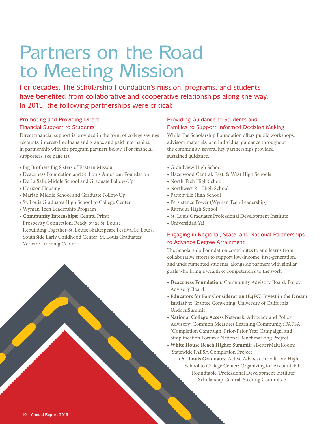## Partners on the Road to Meeting Mission

For decades, The Scholarship Foundation's mission, programs, and students have benefited from collaborative and cooperative relationships along the way. In 2015, the following partnerships were critical:

#### Promoting and Providing Direct Financial Support to Students

Direct financial support is provided in the form of college savings accounts, interest-free loans and grants, and paid internships, in partnership with the program partners below. (For financial supporters, see page 11).

- Big Brothers Big Sisters of Eastern Missouri
- Deaconess Foundation and St. Louis American Foundation
- De La Salle Middle School and Graduate Follow-Up
- Horizon Housing
- Marian Middle School and Graduate Follow-Up
- St. Louis Graduates High School to College Center
- Wyman Teen Leadership Program
- **Community Internships:** Central Print; Prosperity Connection; Ready by 21 St. Louis; Rebuilding Together-St. Louis; Shakespeare Festival St. Louis; SouthSide Early Childhood Center; St. Louis Graduates; Vernare Learning Center

#### Providing Guidance to Students and Families to Support Informed Decision Making

While The Scholarship Foundation offers public workshops, advisory materials, and individual guidance throughout the community, several key partnerships provided sustained guidance.

- Grandview High School
- Hazelwood Central, East, & West High Schools
- North Tech High School
- Northwest R-1 High School
- Pattonville High School
- Persistence Power (Wyman Teen Leadership)
- Ritenour High School
- St. Louis Graduates Professional Development Institute
- Universidad Ya!

#### Engaging in Regional, State, and National Partnerships to Advance Degree Attainment

The Scholarship Foundation contributes to and learns from collaborative efforts to support low-income, first-generation, and undocumented students, alongside partners with similar goals who bring a wealth of competencies to the work.

- **Deaconess Foundation:** Community Advisory Board; Policy Advisory Board
- **Educators for Fair Consideration (E4FC) Invest in the Dream Initiative:** Grantee Convening; University of California UndocuSummit
- **National College Access Network:** Advocacy and Policy Advisory; Common Measures Learning Community; FAFSA (Completion Campaign, Prior-Prior Year Campaign, and Simplification Forum); National Benchmarking Project
- **White House Reach Higher Summit:** #BetterMakeRoom; Statewide FAFSA Completion Project
	- **St. Louis Graduates:** Active Advocacy Coalition; High School to College Center; Organizing for Accountability Roundtable; Professional Development Institute; Scholarship Central; Steering Committee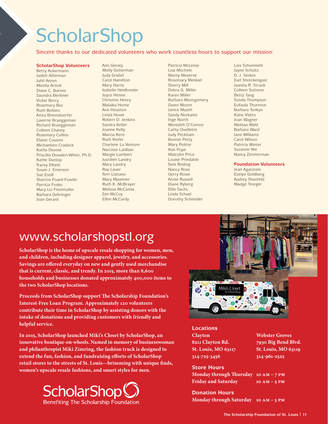## **ScholarShop**

Sincere thanks to our dedicated volunteers who work countless hours to support our mission:

#### **ScholarShop Volunteers**

Betty Ackermann Judith Alferman Juhli Anten Mirella Artioli Diane C. Barnes Saundra Berlener Vickie Berry Rosemary Boc Ruth Bollato Anita Brenndoerfer Laverne Brueggeman Richard Brueggeman Colleen Chaney Rosemary Collins Elaine Cousins Michaeleen Cradock Katha Dionne Priscilla Dowden-White, Ph.D. Kathe Dunlop Tracey Elbein Susan J. Emerson Sue Estill Sharron Foard-Fowler Patricia Fosko Mary Liz Fronmuller Barbara Gehringer Joan Gerard

Ann Geraty Molly Golterman Judy Grabel Carol Hamilton Mary Harris Isabelle Heidbreder Joyce Henne Christine Henry Malaika Horne Ann Houston Linda Howe Robert D. Jenkins Sandra Keller Joanne Kelly Marcia Kern Ruth Kiefer Charlene La Venture Narcisse Laidlaw Margie Lambert Justilien Landry Mary Landry Ray Lauer Terri Lisitano Mary Maxeiner Ruth K. McBrayer Melissa McCanna Zen McCoy Ellen McCurdy

Patricia McLeese Lisa Mechele Marny Meserve Rosemary Meskiel Sherry Mill Debra G. Miller Karen Miller Barbara Montgomery Gwen Moore Janice Mueth Sandy Norkaitis Inge North Meredith O'Connor Cathy Ouellette Judy Peckham Bonnie Petty Mary Politte Kim Pope Malcolm Price Louise Prindable Tami Reding Nancy Rose Gerry Rowe Annie Russell Diane Ryberg Ellie Sachs Linda Schael Dorothy Schneider

Lois Schoemehl Jayne Schultz D. J. Serkes Earl Shreckengast Juanita R. Strunk Colleen Sutterer Betty Tang Sonda Thompson Eufaula Thornton Barbara Tonkyn Katie Vidito Joan Wagner Melissa Wahl Barbara Ward Jane Williams Carol Wilson Patricia Winter Suzanne Yee Nancy Zimmerman

**Foundation Volunteers**

Jean Agatstein Evelyn Goldberg Audrey Shanfeld Madge Treeger

### www.scholarshopstl.org

**ScholarShop is the home of upscale resale shopping for women, men, and children, including designer apparel, jewelry, and accessories. Savings are offered everyday on new and gently used merchandise that is current, classic, and trendy. In 2015, more than 8,600 households and businesses donated approximately 400,000 items to the two ScholarShop locations.** 

**Proceeds from ScholarShop support The Scholarship Foundation's Interest-Free Loan Program. Approximately 120 volunteers contribute their time in ScholarShop by assisting donors with the intake of donations and providing customers with friendly and helpful service.**

**In 2015, ScholarShop launched Miki's Closet by ScholarShop, an innovative boutique-on-wheels. Named in memory of businesswoman and philanthropist Miki Zimring, the fashion truck is designed to extend the fun, fashion, and fundraising efforts of ScholarShop retail stores to the streets of St. Louis—brimming with unique finds, women's upscale resale fashions, and smart styles for men.** 





**Locations Clayton Webster Groves 314-725-3456 314-961-2525** 

**8211 Clayton Rd. 7930 Big Bend Blvd. St. Louis, MO 63117 St. Louis, MO 63119** 

**Store Hours Monday through Thursday 10 am – 7 pm Friday and Saturday 10 am – 5 pm**

**Donation Hours Monday through Saturday 10 am – 5 pm**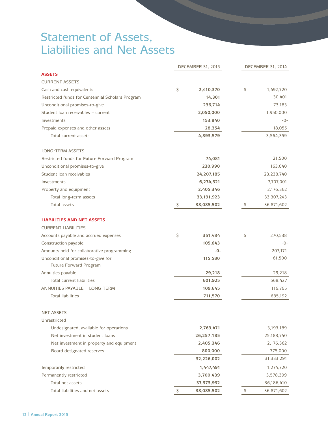### Statement of Assets, Liabilities and Net Assets

|                                                                 | <b>DECEMBER 31, 2015</b>  |                     |  |
|-----------------------------------------------------------------|---------------------------|---------------------|--|
| <b>ASSETS</b>                                                   |                           |                     |  |
| <b>CURRENT ASSETS</b>                                           |                           |                     |  |
| Cash and cash equivalents                                       | \$<br>2,410,370           | \$<br>1,492,720     |  |
| Restricted funds for Centennial Scholars Program                | 14,301                    | 30,401              |  |
| Unconditional promises-to-give                                  | 236,714                   | 73,183              |  |
| Student Ioan receivables - current                              | 2,050,000                 | 1,950,000           |  |
| Investments                                                     | 153,840                   | -0-                 |  |
| Prepaid expenses and other assets                               | 28,354                    | 18,055<br>3,564,359 |  |
| Total current assets                                            | 4,893,579                 |                     |  |
| <b>LONG-TERM ASSETS</b>                                         |                           |                     |  |
| Restricted funds for Future Forward Program                     | 74,081                    | 21,500              |  |
| Unconditional promises-to-give                                  | 230,990                   | 163,640             |  |
| Student Ioan receivables                                        | 24,207,185                | 23,238,740          |  |
| Investments                                                     | 6,274,321                 | 7,707,001           |  |
| Property and equipment                                          | 2,405,346                 | 2,176,362           |  |
| Total long-term assets                                          | 33,191,923                | 33,307,243          |  |
| Total assets                                                    | $\varsigma$<br>38,085,502 | \$<br>36,871,602    |  |
| <b>LIABILITIES AND NET ASSETS</b><br><b>CURRENT LIABILITIES</b> |                           |                     |  |
| Accounts payable and accrued expenses                           | \$<br>351,484             | \$<br>270,538       |  |
| Construction payable                                            | 105,643                   | -0-                 |  |
| Amounts held for collaborative programming                      | $-0-$                     | 207,171             |  |
| Unconditional promises-to-give for<br>Future Forward Program    | 115,580                   | 61,500              |  |
| Annuities payable                                               | 29,218                    | 29,218              |  |
| Total current liabilities                                       | 601,925                   | 568,427             |  |
| ANNUITIES PAYABLE - LONG-TERM                                   | 109,645                   | 116,765             |  |
| <b>Total liabilities</b>                                        | 711,570                   | 685,192             |  |
| <b>NET ASSETS</b>                                               |                           |                     |  |
| Unrestricted                                                    |                           |                     |  |
| Undesignated, available for operations                          | 2,763,471                 | 3,193,189           |  |
| Net investment in student loans                                 | 26,257,185                | 25,188,740          |  |
| Net investment in property and equipment                        | 2,405,346                 | 2,176,362           |  |
| Board designated reserves                                       | 800,000                   | 775,000             |  |
|                                                                 | 32,226,002                | 31,333,291          |  |
| Temporarily restricted                                          | 1,447,491                 | 1,274,720           |  |
| Permanently restricted                                          | 3,700,439                 | 3,578,399           |  |
| Total net assets                                                | 37,373,932                | 36,186,410          |  |
| Total liabilities and net assets                                | 38,085,502                | \$<br>36,871,602    |  |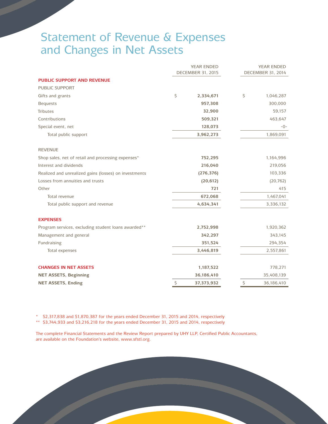### Statement of Revenue & Expenses and Changes in Net Assets

|                                                       | <b>YEAR ENDED</b><br><b>DECEMBER 31, 2015</b> |            | <b>YEAR ENDED</b><br><b>DECEMBER 31, 2014</b> |            |
|-------------------------------------------------------|-----------------------------------------------|------------|-----------------------------------------------|------------|
| <b>PUBLIC SUPPORT AND REVENUE</b>                     |                                               |            |                                               |            |
| <b>PUBLIC SUPPORT</b>                                 |                                               |            |                                               |            |
| Gifts and grants                                      | \$                                            | 2,334,671  | \$                                            | 1,046,287  |
| <b>Bequests</b>                                       |                                               | 957,308    |                                               | 300,000    |
| <b>Tributes</b>                                       |                                               | 32,900     |                                               | 59,157     |
| Contributions                                         |                                               | 509,321    |                                               | 463,647    |
| Special event, net                                    | 128,073                                       |            | $-0-$                                         |            |
| Total public support                                  |                                               | 3,962,273  |                                               | 1,869,091  |
| <b>REVENUE</b>                                        |                                               |            |                                               |            |
| Shop sales, net of retail and processing expenses*    |                                               | 752,295    |                                               | 1,164,996  |
| Interest and dividends                                | 216,040                                       |            | 219,056                                       |            |
| Realized and unrealized gains (losses) on investments |                                               | (276, 376) |                                               | 103,336    |
| Losses from annuities and trusts                      |                                               | (20, 612)  |                                               | (20, 762)  |
| Other                                                 |                                               | 721        |                                               | 415        |
| Total revenue                                         |                                               | 672,068    |                                               | 1,467,041  |
| Total public support and revenue                      |                                               | 4,634,341  |                                               | 3,336,132  |
| <b>EXPENSES</b>                                       |                                               |            |                                               |            |
| Program services, excluding student loans awarded**   |                                               | 2,752,998  |                                               | 1,920,362  |
| Management and general                                |                                               | 342,297    |                                               | 343,145    |
| Fundraising                                           |                                               | 351,524    |                                               | 294,354    |
| Total expenses                                        |                                               | 3,446,819  |                                               | 2,557,861  |
| <b>CHANGES IN NET ASSETS</b>                          |                                               | 1,187,522  |                                               | 778,271    |
| <b>NET ASSETS, Beginning</b>                          |                                               | 36,186,410 |                                               | 35,408,139 |
| <b>NET ASSETS, Ending</b>                             | \$                                            | 37,373,932 | \$                                            | 36,186,410 |

\* \$2,317,838 and \$1,870,387 for the years ended December 31, 2015 and 2014, respectively

\*\* \$3,744,933 and \$3,216,218 for the years ended December 31, 2015 and 2014, respectively

The complete Financial Statements and the Review Report prepared by UHY LLP, Certified Public Accountants, are available on the Foundation's website, www.sfstl.org.

**The Scholarship Foundation of St. Louis | 13**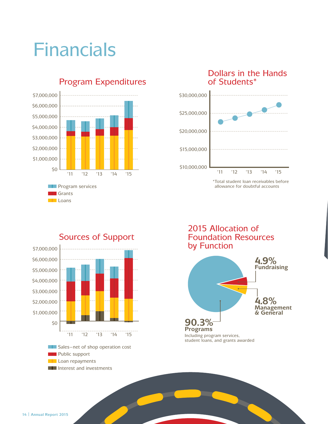## Financials



#### Program Expenditures





\* Total student loan receivables before allowance for doubtful accounts



Sources of Support

2015 Allocation of Foundation Resources by Function

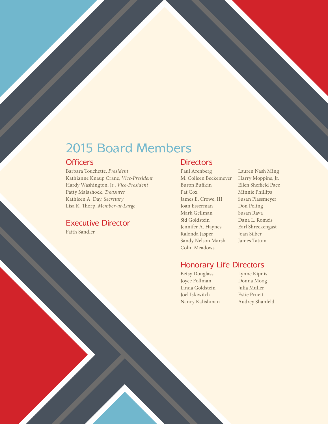### 2015 Board Members

#### **Officers**

Barbara Touchette, President Kathianne Knaup Crane, Vice-President Hardy Washington, Jr., Vice-President Patty Malashock, Treasurer Kathleen A. Day, Secretary Lisa K. Thorp, Member-at-Large

#### Executive Director

Faith Sandler

#### **Directors**

Paul Arenberg M. Colleen Beckemeyer Buron Buffkin Pat Cox James E. Crowe, III Joan Esserman Mark Gellman Sid Goldstein Jennifer A. Haynes Ralonda Jasper Sandy Nelson Marsh Colin Meadows

Lauren Nash Ming Harry Moppins, Jr. Ellen Sheffield Pace Minnie Phillips Susan Plassmeyer Don Poling Susan Rava Dana L. Romeis Earl Shreckengast Joan Silber James Tatum

#### Honorary Life Directors

Betsy Douglass Joyce Follman Linda Goldstein Joel Iskiwitch Nancy Kalishman Lynne Kipnis Donna Moog Julia Muller Estie Pruett Audrey Shanfeld